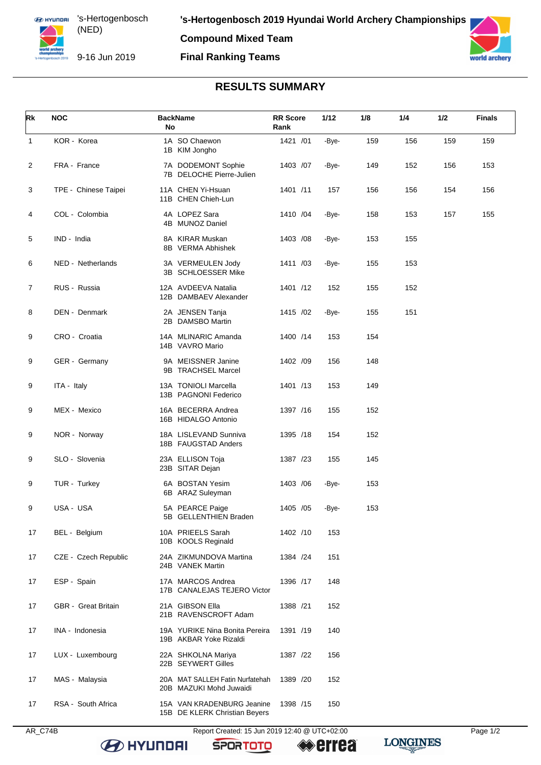**Compound Mixed Team**

## **Final Ranking Teams**



## **RESULTS SUMMARY**

| Rk             | <b>NOC</b>           | <b>BackName</b><br>No                                       | <b>RR</b> Score<br>Rank | 1/12  | 1/8 | 1/4 | 1/2 | <b>Finals</b> |
|----------------|----------------------|-------------------------------------------------------------|-------------------------|-------|-----|-----|-----|---------------|
| $\mathbf{1}$   | KOR - Korea          | 1A SO Chaewon<br>1B KIM Jongho                              | 1421 /01                | -Bye- | 159 | 156 | 159 | 159           |
| $\overline{c}$ | FRA - France         | 7A DODEMONT Sophie<br>7B DELOCHE Pierre-Julien              | 1403 /07                | -Bye- | 149 | 152 | 156 | 153           |
| 3              | TPE - Chinese Taipei | 11A CHEN Yi-Hsuan<br>11B CHEN Chieh-Lun                     | 1401 /11                | 157   | 156 | 156 | 154 | 156           |
| 4              | COL - Colombia       | 4A LOPEZ Sara<br>4B MUNOZ Daniel                            | 1410 /04                | -Bye- | 158 | 153 | 157 | 155           |
| 5              | IND - India          | 8A KIRAR Muskan<br>8B VERMA Abhishek                        | 1403 /08                | -Bye- | 153 | 155 |     |               |
| 6              | NED - Netherlands    | 3A VERMEULEN Jody<br>3B SCHLOESSER Mike                     | 1411 /03                | -Bye- | 155 | 153 |     |               |
| 7              | RUS - Russia         | 12A AVDEEVA Natalia<br>12B DAMBAEV Alexander                | 1401 /12                | 152   | 155 | 152 |     |               |
| 8              | DEN - Denmark        | 2A JENSEN Tanja<br>2B DAMSBO Martin                         | 1415 /02                | -Bye- | 155 | 151 |     |               |
| 9              | CRO - Croatia        | 14A MLINARIC Amanda<br>14B VAVRO Mario                      | 1400 /14                | 153   | 154 |     |     |               |
| 9              | GER - Germany        | 9A MEISSNER Janine<br>9B TRACHSEL Marcel                    | 1402 /09                | 156   | 148 |     |     |               |
| 9              | ITA - Italy          | 13A TONIOLI Marcella<br>13B PAGNONI Federico                | 1401 /13                | 153   | 149 |     |     |               |
| 9              | MEX - Mexico         | 16A BECERRA Andrea<br>16B HIDALGO Antonio                   | 1397 /16                | 155   | 152 |     |     |               |
| 9              | NOR - Norway         | 18A LISLEVAND Sunniva<br>18B FAUGSTAD Anders                | 1395 /18                | 154   | 152 |     |     |               |
| 9              | SLO - Slovenia       | 23A ELLISON Toja<br>23B SITAR Dejan                         | 1387 /23                | 155   | 145 |     |     |               |
| 9              | TUR - Turkey         | 6A BOSTAN Yesim<br>6B ARAZ Suleyman                         | 1403 / 06               | -Bye- | 153 |     |     |               |
| 9              | USA - USA            | 5A PEARCE Paige<br>5B GELLENTHIEN Braden                    | 1405 / 05               | -Bye- | 153 |     |     |               |
| 17             | BEL - Belgium        | 10A PRIEELS Sarah<br>10B KOOLS Reginald                     | 1402 /10                | 153   |     |     |     |               |
| 17             | CZE - Czech Republic | 24A ZIKMUNDOVA Martina<br>24B VANEK Martin                  | 1384 /24                | 151   |     |     |     |               |
| 17             | ESP - Spain          | 17A MARCOS Andrea<br>17B CANALEJAS TEJERO Victor            | 1396 /17                | 148   |     |     |     |               |
| 17             | GBR - Great Britain  | 21A GIBSON Ella<br>21B RAVENSCROFT Adam                     | 1388 /21                | 152   |     |     |     |               |
| 17             | INA - Indonesia      | 19A YURIKE Nina Bonita Pereira<br>19B AKBAR Yoke Rizaldi    | 1391 /19                | 140   |     |     |     |               |
| 17             | LUX - Luxembourg     | 22A SHKOLNA Mariya<br>22B SEYWERT Gilles                    | 1387 /22                | 156   |     |     |     |               |
| 17             | MAS - Malaysia       | 20A MAT SALLEH Fatin Nurfatehah<br>20B MAZUKI Mohd Juwaidi  | 1389 /20                | 152   |     |     |     |               |
| 17             | RSA - South Africa   | 15A VAN KRADENBURG Jeanine<br>15B DE KLERK Christian Beyers | 1398 /15                | 150   |     |     |     |               |

**SPORTOTO** 

**B** HYUNDAI

**LONGINES** 

**errea**